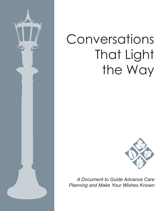

# Conversations That Light the Way



*A Document to Guide Advance Care Planning and Make Your Wishes Known*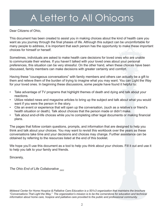# A Letter to All Ohioans

Dear Citizens of Ohio,

This document has been created to assist you in making choices about the kind of health care you want as you journey through the final phases of life. Although this subject can be uncomfortable for many people to address, it is important that each person has the opportunity to make these important choices for himself or herself.

Sometimes, individuals are asked to make health care decisions for loved ones who are unable to communicate their wishes. If you haven't talked with your loved ones about your personal preferences, this situation can be very stressful. On the other hand, when these choices have been discussed, family members can make decisions with greater certainty and comfort.

Having these "courageous conversations" with family members and others can actually be a gift to them and relieve them of the burden of trying to imagine what you may want. You can Light the Way for your loved ones. In beginning these discussions, some people have found it helpful to:

- Take advantage of TV programs that highlight themes of death and dying and talk about your reactions.
- Utilize related news and magazine articles to bring up the subject and talk about what you would want if you were the person in the story.
- Cite an event or experience that will open up the conversation, (such as a relative's or friend's health situation or death). Talk about choices that the person made or didn't make.
- Talk about end-of-life choices while you're completing other legal documents or making financial plans.

The pages that follow contain questions, prompts, and information that are designed to help you think and talk about your choices. You may want to revisit this workbook over the years as these conversations take time and your decisions and choices may change. Further assistance can be obtained by referring to the resources listed at the end of this booklet.

We hope you'll use this document as a tool to help you think about your choices. Fill it out and use it to help you talk to your family and friends.

Sincerely,

*The Ohio End of Life Collaborative 2003*

*Midwest Center for Home Hospice & Palliative Care Education is a 501c3 organization that maintains the brochure "Conversations That Light the Way." The organization's mission is to be the cornerstone for education and technical information about home care, hospice and palliative care provided to the public and professional community.*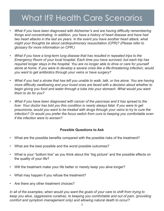### What If? Health Care Scenarios

- *• What if you have been diagnosed with Alzheimer's and are having difficulty remembering things and concentrating. In addition, you have a history of heart disease and have had two heart attacks in the last six years. In the event you have another heart attack, what might your thoughts be about cardiopulmonary resuscitation (CPR)? (Please refer to glossary for more information on CPR.)*
- *• What if you have a long-term lung disease that has resulted in repeated trips to the Emergency Room of your local hospital. Each time you have survived, but each trip has required longer stays in the hospital. You are no longer able to drive or care for yourself alone at home. If you were to develop a severe crisis like a life-threatening infection, would you want to get antibiotics through your veins or have surgery?*
- *• What if you had a stroke that has left you unable to walk, talk, or live alone. You are having more difficulty swallowing and your loved ones are faced with a decision about whether to begin giving you food and water through a tube into your stomach. What would you want them to do for you?*
- *• What if you have been diagnosed with cancer of the pancreas and it has spread to the liver. Your doctor has told you this condition is nearly always fatal. If you were to get pneumonia, would you want to be treated with drugs through your veins to try to cure the infection? Or would you prefer the focus switch from cure to keeping you comfortable even if the infection were to worsen?*

### **Possible Questions to Ask**

- What are the possible benefits compared with the possible risks of the treatment?
- What are the best possible and the worst possible outcomes?
- What is your "bottom line" as you think about the "big picture" and the possible effects on the quality of your life?
- Will the treatment make your life better or merely keep you alive longer?
- What may happen if you refuse the treatment?
- Are there any other treatment choices?

*In all of the examples, when would you want the goals of your care to shift from trying to keep you alive, (aggressive curative), to keeping you comfortable and out of pain, (providing comfort and symptom management only) and allowing natural death to occur?*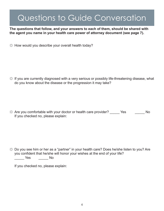**The questions that follow, and your answers to each of them, should be shared with the agent you name in your health care power of attorney document (see page 7).**

 $\uplus$  How would you describe your overall health today?

 $\uplus$  If you are currently diagnosed with a very serious or possibly life-threatening disease, what do you know about the disease or the progression it may take?

 $\uplus$  Are you comfortable with your doctor or health care provider? Yes No If you checked no, please explain:

 $\uplus$  Do you see him or her as a "partner" in your health care? Does he/she listen to you? Are you confident that he/she will honor your wishes at the end of your life? \_\_\_\_\_ Yes \_\_\_\_\_ No

If you checked no, please explain: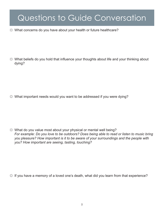☼ What concerns do you have about your health or future healthcare?

☼ What beliefs do you hold that influence your thoughts about life and your thinking about dying?

 $\Diamond$  What important needs would you want to be addressed if you were dying?

 $\uplus$  What do you value most about your physical or mental well being? *For example: Do you love to be outdoors? Does being able to read or listen to music bring you pleasure? How important is it to be aware of your surroundings and the people with you? How important are seeing, tasting, touching?*

 $\hat{X}$  If you have a memory of a loved one's death, what did you learn from that experience?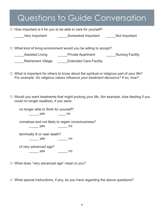### Questions to Guide Conversation  $\uplus$  How important is it for you to be able to care for yourself? Very Important **Example 20 Somewhat Important** and Not Important  $\uplus$  What kind of living environment would you be willing to accept? **EXECUTE:** Assisted Living **EXECUTE:** Private Apartment **Nursing Facility** Retirement Village **Extended Care Facility**

- $\uplus$  What is important for others to know about the spiritual or religious part of your life? *For example: Do religious values influence your treatment decisions? If so, how?*
- $\uplus$  Would you want treatments that might prolong your life, (for example, tube feeding if you could no longer swallow), if you were:

no longer able to think for yourself? \_\_\_\_\_\_\_ yes \_\_\_\_\_\_ no

comatose and not likely to regain consciousness?

\_\_\_\_\_\_ yes \_\_\_\_\_\_ no

terminally ill or near death?

\_\_\_\_\_ yes \_\_\_\_\_ no

of very advanced age? \_\_\_\_\_ yes \_\_\_\_\_ no

☼ What does "very advanced age" mean to you?

 $\uplus$  What special instructions, if any, do you have regarding the above questions?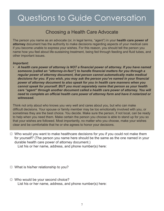### Choosing a Health Care Advocate

The person you name as an advocate (or, in legal terms, "agent") in your **health care power of attorney** document has the authority to make decisions regarding aspects of your medical care if you become unable to express your wishes. For this reason, you should tell the person you name how you feel about life-sustaining treatment, being fed through feeding and fluid tubes, and other important issues.

### *Important:*

*• A health care power of attorney is NOT a financial power of attorney. If you have named someone (called an "attorney-in-fact") to handle financial matters for you through a regular power of attorney document, that person cannot automatically make medical decisions for you. If you wish, you may ask the person you've named in your financial power of attorney document to also speak for you in health care manners when you cannot speak for yourself. BUT you must separately name that person as your health care "agent" through another document called a health care power of attorney. You will need to complete an official health care power of attorney form and have it notarized or witnessed.*

Think not only about who knows you very well and cares about you, but who can make difficult decisions. Your spouse or family member may be too emotionally involved with you, or sometimes they are the best choice. You decide. Make sure the person, if not local, can be ready to help when you need them. Make certain the person you choose is able to stand up for you so that your wishes are followed. Most importantly, no matter who you choose, make your wishes clear and be comfortable that he or she agrees to honor your decisions.

 $\Diamond$  Who would you want to make healthcare decisions for you if you could not make them for yourself? (The person you name here should be the same as the one named in your durable health care power of attorney document.)

List his or her name, address, and phone number(s) here:

- ☼ What is his/her relationship to you?
- $\uplus$  Who would be your second choice? List his or her name, address, and phone number(s) here: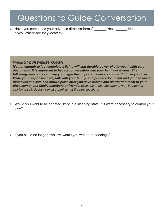☼ Have you completed your advance directive forms? \_\_\_\_\_\_ Yes \_\_\_\_\_\_ No If yes, Where are they located?

*MAKING YOUR WISHES KNOWN*

*It's not enough to just complete a living will and durable power of attorney-health care documents. It is important to have a conversation with your family or friends. The following questions can help you begin this important conversation with those you love. Write your responses here, talk with your family, and put this document and your advance directives in a safe and known place after you have copied and distributed them to your physician(s) and family members or friends. (Because these documents may be needed quickly, a safe deposit box at a bank is not the best location.)*

 $\Diamond$  Would you want to be sedated, kept in a sleeping state, if it were necessary to control your pain?

 $\uplus$  If you could no longer swallow, would you want tube feedings?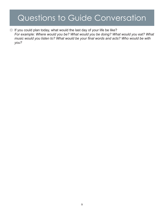$\varphi$  If you could plan today, what would the last day of your life be like? *For example: Where would you be? What would you be doing? What would you eat? What music would you listen to? What would be your final words and acts? Who would be with you?*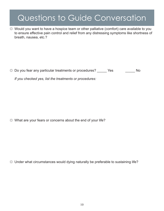$\Diamond$  Would you want to have a hospice team or other palliative (comfort) care available to you to ensure effective pain control and relief from any distressing symptoms like shortness of breath, nausea, etc.?

 $\uplus$  Do you fear any particular treatments or procedures? \_\_\_\_\_ Yes \_\_\_\_\_\_\_\_ No

*If you checked yes, list the treatments or procedures:*

 $\hat{X}$  What are your fears or concerns about the end of your life?

 $\uplus$  Under what circumstances would dying naturally be preferable to sustaining life?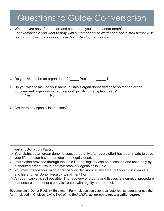$\Im$  What do you need for comfort and support as you journey near death? *For example: Do you want to pray with a member of the clergy or other trusted person? Be read to from spiritual or religious texts? Listen to poetry or music?*

 $\uplus$  Do you wish to be an organ donor? Yes No

- $\uplus$  Do you wish to include your name in Ohio's organ donor database so that an organ procurement organization can respond quickly to transplant needs? \_\_\_\_\_ Yes \_\_\_\_\_ No
- $\Leftrightarrow$  Are there any special instructions?

### **Important Donation Facts:**

- ☼ Your status as an organ donor is considered only after every effort has been made to save your life and you have been declared legally dead.
- $\uplus$  Information provided through the Ohio Donor Registry can be assessed and used only by authorized organ, tissue and eye recovery agencies in Ohio.
- $\uplus$  You may change your mind or refine your decisions at any time, but you must complete and file another Donor Registry Enrollment Form.
- $\uplus$  An open casket is still possible. The recovery of organs and tissues is a surgical procedure that ensures the donor's body is treated with dignity and respect.

To complete a Donor Registry Enrollment Form, please see your local auto license bureau or use the form included in Choices: *Living Well at the End of Life*, at: **www.midwestcarealliance.org.**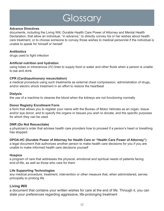# **Glossary**

#### **Advance Directives**

documents, including the Living Will, Durable Health Care Power of Attorney and Mental Health Declaration, that allow an individual, "in advance," to directly convey his or her wishes about health care treatment, or to choose someone to convey those wishes to medical personnel if the individual is unable to speak for himself or herself

### **Antibiotics**

drugs used to fight infection

### **Artificial nutrition and hydration**

using tubes or intravenous (IV) lines to supply food or water and other fluids when a person is unable to eat and drink

### **CPR (Cardiopulmonary resuscitation)**

a medical procedure using such treatments as external chest compression, administration of drugs, and/or electric shock treatment in an effort to restore the heartbeat

### **Dialysis**

the use of a machine to cleanse the blood when the kidneys are not functioning normally

### **Donor Registry Enrollment Form**

a form that allows you to register your name with the Bureau of Motor Vehicles as an organ, tissue and/or eye donor, and to specify the organs or tissues you wish to donate, and the specific purposes for which they can be used

### **DNR (Do Not Resuscitate)**

a physician's order that advises health care providers how to proceed if a person's heart or breathing has stopped.

### **DPOA-HC (Durable Power of Attorney for Health Care or "Health Care Power of Attorney")**

a legal document that authorizes another person to make health care decisions for you if you are unable to make informed health care decisions yourself

#### **Hospice**

a program of care that addresses the physical, emotional and spiritual needs of patients facing end-of-life, as well as those who care for them

### **Life Supporting Technologies**

any medical procedure, treatment, intervention or other measure that, when administered, serves principally to prolong life

### **Living Will**

a document that contains your written wishes for care at the end of life. Through it, you can state your preferences regarding aggressive, life-prolonging treatment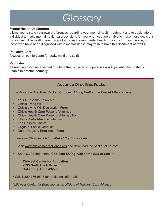# **Glossary**

#### **Mental Health Declaration**

allows you to state your own preferences regarding your mental health treatment and to designate an individual to make mental health care decisions for you when you are unable to make these decisions for yourself (The health care power of attorney covers mental health concerns for most people, but those who have been diagnosed with a mental illness may wish to have this document as well.)

### **Palliative Care**

focuses on comfort care for body, mind and spirit

### **Ventilator**

a breathing machine attached to a tube that is placed in a person's windpipe when he or she is unable to breathe normally

### **Advance Directives Packet**

The Advance Directives Packet, **Choices:** *Living Well at the End of Life*, contains:

- Your Questions Answered
- Ohio's Living Will
- Ohio's Living Will Declaration Form
- Ohio's Health Care Power of Attorney
- Ohio's Health Care Power of Attorney Form
- Ohio's Do-Not-Resuscitate Law
- **The Hospice Choice**
- Organ & Tissue Donation
- **Donor Registry Enrollment Form**

To receive **Choices:** *Living Well at the End of Life*:

- Visit www.midwestcarealliance.org and download the packet at no cost
- Send \$3 for the printed **Choices:** *Living Well at the End of Life* to:

**Midwest Center for Education 2233 North Bank Drive Columbus, Ohio 43220**

• Call 1-800-776-9513 for additional information

*\*Midwest Center for Education is an affiliate of Midwest Care Alliance*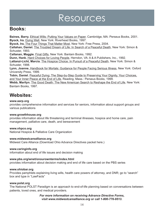### Resources

### **Books:**

**Baines, Barry.** Ethical Wills: Putting Your Values on Paper, Cambridge, MA: Perseus Books, 2001. **Byock, Ira.** Dying Well, New York: Riverhead Books, 1997.

**Byock, Ira.** The Four Things That Matter Most, New York: Free Press, 2004.

**Callahan, Daniel.** The Troubled Dream of Life: In Search of a Peaceful Death, New York: Simon & Schuster, 1993.

**Callanan, Maggie.** Final Gifts, New York: Bantam Books, 1992.

**Dunn, Hank.** Hard Choices for Loving People, Herndon, VA: A & A Publishers, Inc., 1992.

**Lattanzi-Licht, Marcia.** The Hospice Choice: In Pursuit of a Peaceful Death, New York: Simon & Schuster, 1998.

**Lynn, Joanne.** Handbook for Mortals: Guidance for People Facing Serious Illness, New York: Oxford University Press, 1999.

**Tobin, Daniel.** Peaceful Dying: The Step-by-Step Guide to Preserving Your Dignity, Your Choices, and Your Inner Peace at the End of Life, Reading, Mass.: Perseus Books, 1999.

**Webb, Marilyn.** The Good Death: The New American Search to Reshape the End of Life, New York: Bantam Books, 1997.

### **Websites:**

### **www.aarp.org**

provides comprehensive information and services for seniors, information about support groups and various publications

#### **www.growthhouse.org**

provides information about life threatening and terminal illnesses, hospice and home care, pain management, palliative care, death, and bereavement

#### **www.nhpco.org**

National Hospice & Palliative Care Organization

#### **www.midwestcarealliance.org**

Midwest Care Alliance (Download Ohio Advance Directives packet here.)

#### **www.caringinfo.org**

information about end of life issues and decision making

#### **www.pbs.org/wnet/onourownterms/index.html**

provides information about decision making and end of life care based on the PBS series

#### **www.ohiobar.org**

Provides pamphlets explaining living wills, health care powers of attorney, and DNR; go to "search" box and type in "LawFacts"

#### **www.polst.org**

The National POLST Paradigm is an approach to end-of-life planning based on conversations between patients, loved ones, and medical providers.

> *For more information on receiving Advance Directive Forms, visit www.midwestcarealliance.org or call 1-800-776-9513.*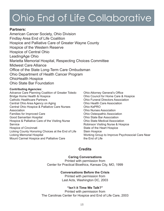# Ohio End of Life Collaborative

### **Partners:**

American Cancer Society, Ohio Division Findlay Area End of Life Coalition Hospice and Palliative Care of Greater Wayne County Hospice of the Western Reserve Hospice of Central Ohio LeadingAge Ohio Marietta Memorial Hospital, Respecting Choices Committee Midwest Care Alliance Office of the State Long-Term Care Ombudsman Ohio Department of Health Cancer Program OhioHealth Hospice Ohio State Bar Foundation

### **Contributing Agencies:**

Advance Care Planning Coalition of Greater Toledo Bridge Home Health & Hospice Catholic Healthcare Partners Central Ohio Area Agency on Aging Central Ohio Hospice & Palliative Care Nurses Association Families for Improved Care Good Samaritan Hospital Hospice & Palliative Care of the Visiting Nurse **Service** Hospice of Cincinnati Licking County Honoring Choices at the End of Life Licking Memorial Hospital Mount Carmel Hospice and Palliative Care

Ohio Attorney General's Office Ohio Council for Home Care & Hospice Ohio Funeral Directors Association Ohio Health Care Association Ohio KePRO Ohio Nurses Association Ohio Osteopathic Association Ohio State Bar Association Ohio State Medical Association Robinson Visiting Nurse & Hospice State of the Heart Hospice Stein Hospice Working Group to Improve Psychosocial Care Near the End of Life

### **Credits**

#### **Caring Conversations** Printed with permission from Center for Practical Bioethics, Kansas City, MO, 1999

### **Conversations Before the Crisis**

Printed with permission from Last Acts, Washington DC, 2003

### **"Isn't it Time We Talk?"**

Printed with permission from The Carolinas Center for Hospice and End of Life Care, 2003